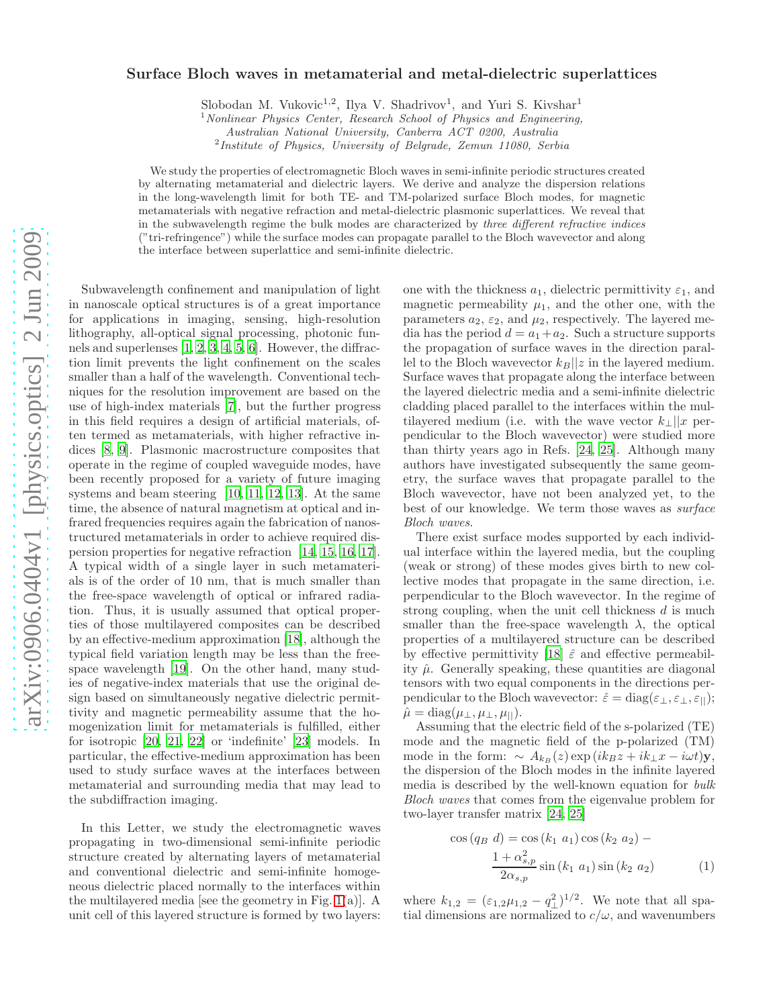## Surface Bloch waves in metamaterial and metal-dielectric superlattices

Slobodan M. Vukovic<sup>1,2</sup>, Ilya V. Shadrivov<sup>1</sup>, and Yuri S. Kivshar<sup>1</sup>

 $1$  Nonlinear Physics Center, Research School of Physics and Engineering,

Australian National University, Canberra ACT 0200, Australia

<sup>2</sup>Institute of Physics, University of Belgrade, Zemun 11080, Serbia

We study the properties of electromagnetic Bloch waves in semi-infinite periodic structures created by alternating metamaterial and dielectric layers. We derive and analyze the dispersion relations in the long-wavelength limit for both TE- and TM-polarized surface Bloch modes, for magnetic metamaterials with negative refraction and metal-dielectric plasmonic superlattices. We reveal that in the subwavelength regime the bulk modes are characterized by three different refractive indices ("tri-refringence") while the surface modes can propagate parallel to the Bloch wavevector and along the interface between superlattice and semi-infinite dielectric.

Subwavelength confinement and manipulation of light in nanoscale optical structures is of a great importance for applications in imaging, sensing, high-resolution lithography, all-optical signal processing, photonic funnels and superlenses [\[1,](#page-2-0) [2,](#page-2-1) [3](#page-2-2), [4](#page-2-3), [5,](#page-2-4) [6\]](#page-2-5). However, the diffraction limit prevents the light confinement on the scales smaller than a half of the wavelength. Conventional techniques for the resolution improvement are based on the use of high-index materials [\[7](#page-2-6)], but the further progress in this field requires a design of artificial materials, often termed as metamaterials, with higher refractive indices [\[8,](#page-2-7) [9\]](#page-2-8). Plasmonic macrostructure composites that operate in the regime of coupled waveguide modes, have been recently proposed for a variety of future imaging systems and beam steering [\[10,](#page-2-9) [11,](#page-2-10) [12,](#page-2-11) [13\]](#page-3-0). At the same time, the absence of natural magnetism at optical and infrared frequencies requires again the fabrication of nanostructured metamaterials in order to achieve required dispersion properties for negative refraction [\[14](#page-3-1), [15,](#page-3-2) [16](#page-3-3), [17\]](#page-3-4). A typical width of a single layer in such metamaterials is of the order of 10 nm, that is much smaller than the free-space wavelength of optical or infrared radiation. Thus, it is usually assumed that optical properties of those multilayered composites can be described by an effective-medium approximation [\[18\]](#page-3-5), although the typical field variation length may be less than the freespace wavelength [\[19](#page-3-6)]. On the other hand, many studies of negative-index materials that use the original design based on simultaneously negative dielectric permittivity and magnetic permeability assume that the homogenization limit for metamaterials is fulfilled, either for isotropic [\[20,](#page-3-7) [21,](#page-3-8) [22](#page-3-9)] or 'indefinite' [\[23\]](#page-3-10) models. In particular, the effective-medium approximation has been used to study surface waves at the interfaces between metamaterial and surrounding media that may lead to the subdiffraction imaging.

In this Letter, we study the electromagnetic waves propagating in two-dimensional semi-infinite periodic structure created by alternating layers of metamaterial and conventional dielectric and semi-infinite homogeneous dielectric placed normally to the interfaces within the multilayered media [see the geometry in Fig. [1\(](#page-1-0)a)]. A unit cell of this layered structure is formed by two layers: one with the thickness  $a_1$ , dielectric permittivity  $\varepsilon_1$ , and magnetic permeability  $\mu_1$ , and the other one, with the parameters  $a_2$ ,  $\varepsilon_2$ , and  $\mu_2$ , respectively. The layered media has the period  $d = a_1 + a_2$ . Such a structure supports the propagation of surface waves in the direction parallel to the Bloch wavevector  $k_B||z$  in the layered medium. Surface waves that propagate along the interface between the layered dielectric media and a semi-infinite dielectric cladding placed parallel to the interfaces within the multilayered medium (i.e. with the wave vector  $k_+||x|$  perpendicular to the Bloch wavevector) were studied more than thirty years ago in Refs. [\[24](#page-3-11), [25\]](#page-3-12). Although many authors have investigated subsequently the same geometry, the surface waves that propagate parallel to the Bloch wavevector, have not been analyzed yet, to the best of our knowledge. We term those waves as surface Bloch waves.

There exist surface modes supported by each individual interface within the layered media, but the coupling (weak or strong) of these modes gives birth to new collective modes that propagate in the same direction, i.e. perpendicular to the Bloch wavevector. In the regime of strong coupling, when the unit cell thickness d is much smaller than the free-space wavelength  $\lambda$ , the optical properties of a multilayered structure can be described by effective permittivity [\[18\]](#page-3-5)  $\hat{\varepsilon}$  and effective permeability  $\hat{\mu}$ . Generally speaking, these quantities are diagonal tensors with two equal components in the directions perpendicular to the Bloch wavevector:  $\hat{\varepsilon} = \text{diag}(\varepsilon_\perp, \varepsilon_\perp, \varepsilon_\parallel);$  $\hat{\mu} = \text{diag}(\mu_{\perp}, \mu_{\perp}, \mu_{\parallel}).$ 

Assuming that the electric field of the s-polarized (TE) mode and the magnetic field of the p-polarized (TM) mode in the form:  $\sim A_{k_B}(z) \exp(ik_Bz + ik_\perp x - i\omega t)y$ , the dispersion of the Bloch modes in the infinite layered media is described by the well-known equation for bulk Bloch waves that comes from the eigenvalue problem for two-layer transfer matrix [\[24,](#page-3-11) [25](#page-3-12)]

<span id="page-0-0"></span>
$$
\cos (q_B d) = \cos (k_1 a_1) \cos (k_2 a_2) -
$$
  

$$
\frac{1 + \alpha_{s,p}^2}{2\alpha_{s,p}} \sin (k_1 a_1) \sin (k_2 a_2)
$$
 (1)

where  $k_{1,2} = (\varepsilon_{1,2}\mu_{1,2} - q_{\perp}^2)^{1/2}$ . We note that all spatial dimensions are normalized to  $c/\omega$ , and wavenumbers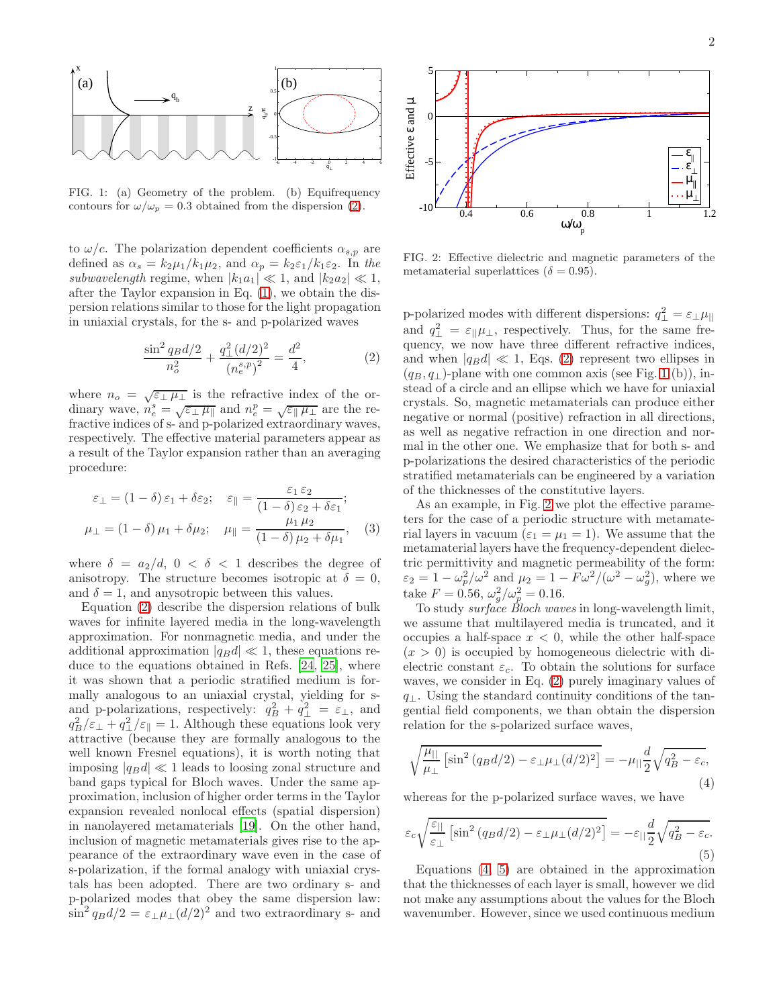

<span id="page-1-0"></span>FIG. 1: (a) Geometry of the problem. (b) Equifrequency contours for  $\omega/\omega_p = 0.3$  obtained from the dispersion [\(2\)](#page-1-1).

to  $\omega/c$ . The polarization dependent coefficients  $\alpha_{s,p}$  are defined as  $\alpha_s = k_2 \mu_1 / k_1 \mu_2$ , and  $\alpha_p = k_2 \varepsilon_1 / k_1 \varepsilon_2$ . In the subwavelength regime, when  $|k_1a_1| \ll 1$ , and  $|k_2a_2| \ll 1$ , after the Taylor expansion in Eq. [\(1\)](#page-0-0), we obtain the dispersion relations similar to those for the light propagation in uniaxial crystals, for the s- and p-polarized waves

<span id="page-1-1"></span>
$$
\frac{\sin^2 q_B d/2}{n_o^2} + \frac{q_\perp^2 (d/2)^2}{\left(n_e^{s,p}\right)^2} = \frac{d^2}{4},\tag{2}
$$

where  $n_o = \sqrt{\epsilon_{\perp} \mu_{\perp}}$  is the refractive index of the ordinary wave,  $n_e^s = \sqrt{\epsilon_\perp \mu_\parallel}$  and  $n_e^p = \sqrt{\epsilon_\parallel \mu_\perp}$  are the refractive indices of s- and p-polarized extraordinary waves, respectively. The effective material parameters appear as a result of the Taylor expansion rather than an averaging procedure:

$$
\varepsilon_{\perp} = (1 - \delta) \varepsilon_1 + \delta \varepsilon_2; \quad \varepsilon_{\parallel} = \frac{\varepsilon_1 \varepsilon_2}{(1 - \delta) \varepsilon_2 + \delta \varepsilon_1};
$$

$$
\mu_{\perp} = (1 - \delta) \mu_1 + \delta \mu_2; \quad \mu_{\parallel} = \frac{\mu_1 \mu_2}{(1 - \delta) \mu_2 + \delta \mu_1}, \quad (3)
$$

where  $\delta = a_2/d, 0 < \delta < 1$  describes the degree of anisotropy. The structure becomes isotropic at  $\delta = 0$ , and  $\delta = 1$ , and any source between this values.

Equation [\(2\)](#page-1-1) describe the dispersion relations of bulk waves for infinite layered media in the long-wavelength approximation. For nonmagnetic media, and under the additional approximation  $|q_Bd| \ll 1$ , these equations reduce to the equations obtained in Refs. [\[24,](#page-3-11) [25\]](#page-3-12), where it was shown that a periodic stratified medium is formally analogous to an uniaxial crystal, yielding for sand p-polarizations, respectively:  $q_B^2 + q_\perp^2 = \varepsilon_\perp$ , and  $q_B^2/\varepsilon_\perp + q_\perp^2/\varepsilon_{\parallel} = 1$ . Although these equations look very attractive (because they are formally analogous to the well known Fresnel equations), it is worth noting that imposing  $|q_Bd| \ll 1$  leads to loosing zonal structure and band gaps typical for Bloch waves. Under the same approximation, inclusion of higher order terms in the Taylor expansion revealed nonlocal effects (spatial dispersion) in nanolayered metamaterials [\[19\]](#page-3-6). On the other hand, inclusion of magnetic metamaterials gives rise to the appearance of the extraordinary wave even in the case of s-polarization, if the formal analogy with uniaxial crystals has been adopted. There are two ordinary s- and p-polarized modes that obey the same dispersion law:  $\sin^2 q_B d/2 = \varepsilon_\perp \mu_\perp (d/2)^2$  and two extraordinary s- and



<span id="page-1-2"></span>FIG. 2: Effective dielectric and magnetic parameters of the metamaterial superlattices ( $\delta = 0.95$ ).

p-polarized modes with different dispersions:  $q_{\perp}^2 = \varepsilon_{\perp}\mu_{||}$ and  $q_{\perp}^2 = \varepsilon_{\parallel} \mu_{\perp}$ , respectively. Thus, for the same frequency, we now have three different refractive indices, and when  $|q_Bd| \ll 1$ , Eqs. [\(2\)](#page-1-1) represent two ellipses in  $(q_B, q_\perp)$ -plane with one common axis (see Fig. [1](#page-1-0) (b)), instead of a circle and an ellipse which we have for uniaxial crystals. So, magnetic metamaterials can produce either negative or normal (positive) refraction in all directions, as well as negative refraction in one direction and normal in the other one. We emphasize that for both s- and p-polarizations the desired characteristics of the periodic stratified metamaterials can be engineered by a variation of the thicknesses of the constitutive layers.

As an example, in Fig. [2](#page-1-2) we plot the effective parameters for the case of a periodic structure with metamaterial layers in vacuum ( $\varepsilon_1 = \mu_1 = 1$ ). We assume that the metamaterial layers have the frequency-dependent dielectric permittivity and magnetic permeability of the form:  $\varepsilon_2 = 1 - \omega_p^2/\omega^2$  and  $\mu_2 = 1 - F\omega^2/(\omega^2 - \omega_g^2)$ , where we take  $F = 0.56$ ,  $\omega_g^2 / \omega_p^2 = 0.16$ .

To study *surface* Bloch waves in long-wavelength limit, we assume that multilayered media is truncated, and it occupies a half-space  $x < 0$ , while the other half-space  $(x > 0)$  is occupied by homogeneous dielectric with dielectric constant  $\varepsilon_c$ . To obtain the solutions for surface waves, we consider in Eq. [\(2\)](#page-1-1) purely imaginary values of  $q_{\perp}$ . Using the standard continuity conditions of the tangential field components, we than obtain the dispersion relation for the s-polarized surface waves,

<span id="page-1-3"></span>
$$
\sqrt{\frac{\mu_{||}}{\mu_{\perp}}} \left[ \sin^2 \left( q_B d/2 \right) - \varepsilon_{\perp} \mu_{\perp} (d/2)^2 \right] = -\mu_{||} \frac{d}{2} \sqrt{q_B^2 - \varepsilon_c},\tag{4}
$$

whereas for the p-polarized surface waves, we have

<span id="page-1-4"></span>
$$
\varepsilon_c \sqrt{\frac{\varepsilon_{||}}{\varepsilon_{\perp}}} \left[ \sin^2 \left( q_B d/2 \right) - \varepsilon_{\perp} \mu_{\perp} (d/2)^2 \right] = -\varepsilon_{||} \frac{d}{2} \sqrt{q_B^2 - \varepsilon_c}.\tag{5}
$$

Equations [\(4,](#page-1-3) [5\)](#page-1-4) are obtained in the approximation that the thicknesses of each layer is small, however we did not make any assumptions about the values for the Bloch wavenumber. However, since we used continuous medium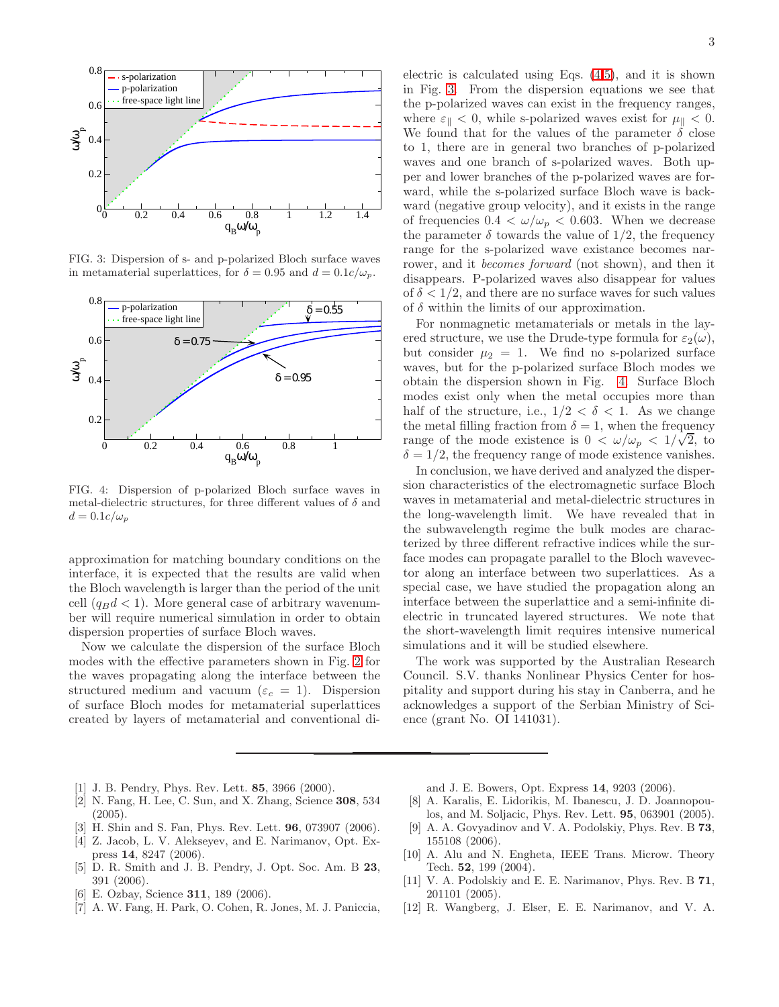

<span id="page-2-12"></span>FIG. 3: Dispersion of s- and p-polarized Bloch surface waves in metamaterial superlattices, for  $\delta = 0.95$  and  $d = 0.1c/\omega_p$ .



<span id="page-2-13"></span>FIG. 4: Dispersion of p-polarized Bloch surface waves in metal-dielectric structures, for three different values of  $\delta$  and  $d = 0.1c/\omega_p$ 

approximation for matching boundary conditions on the interface, it is expected that the results are valid when the Bloch wavelength is larger than the period of the unit cell  $(q_B d < 1)$ . More general case of arbitrary wavenumber will require numerical simulation in order to obtain dispersion properties of surface Bloch waves.

Now we calculate the dispersion of the surface Bloch modes with the effective parameters shown in Fig. [2](#page-1-2) for the waves propagating along the interface between the structured medium and vacuum ( $\varepsilon_c = 1$ ). Dispersion of surface Bloch modes for metamaterial superlattices created by layers of metamaterial and conventional di-

electric is calculated using Eqs. [\(4](#page-1-3)[,5\)](#page-1-4), and it is shown in Fig. [3.](#page-2-12) From the dispersion equations we see that the p-polarized waves can exist in the frequency ranges, where  $\varepsilon_{\parallel} < 0$ , while s-polarized waves exist for  $\mu_{\parallel} < 0$ . We found that for the values of the parameter  $\delta$  close to 1, there are in general two branches of p-polarized waves and one branch of s-polarized waves. Both upper and lower branches of the p-polarized waves are forward, while the s-polarized surface Bloch wave is backward (negative group velocity), and it exists in the range of frequencies  $0.4 < \omega/\omega_p < 0.603$ . When we decrease the parameter  $\delta$  towards the value of 1/2, the frequency range for the s-polarized wave existance becomes narrower, and it becomes forward (not shown), and then it disappears. P-polarized waves also disappear for values of  $\delta < 1/2$ , and there are no surface waves for such values of  $\delta$  within the limits of our approximation.

For nonmagnetic metamaterials or metals in the layered structure, we use the Drude-type formula for  $\varepsilon_2(\omega)$ , but consider  $\mu_2 = 1$ . We find no s-polarized surface waves, but for the p-polarized surface Bloch modes we obtain the dispersion shown in Fig. [4.](#page-2-13) Surface Bloch modes exist only when the metal occupies more than half of the structure, i.e.,  $1/2 < \delta < 1$ . As we change the metal filling fraction from  $\delta = 1$ , when the frequency range of the mode existence is  $0 < \omega/\omega_p < 1/\sqrt{2}$ , to  $\delta = 1/2$ , the frequency range of mode existence vanishes.

In conclusion, we have derived and analyzed the dispersion characteristics of the electromagnetic surface Bloch waves in metamaterial and metal-dielectric structures in the long-wavelength limit. We have revealed that in the subwavelength regime the bulk modes are characterized by three different refractive indices while the surface modes can propagate parallel to the Bloch wavevector along an interface between two superlattices. As a special case, we have studied the propagation along an interface between the superlattice and a semi-infinite dielectric in truncated layered structures. We note that the short-wavelength limit requires intensive numerical simulations and it will be studied elsewhere.

The work was supported by the Australian Research Council. S.V. thanks Nonlinear Physics Center for hospitality and support during his stay in Canberra, and he acknowledges a support of the Serbian Ministry of Science (grant No. OI 141031).

- <span id="page-2-0"></span>[1] J. B. Pendry, Phys. Rev. Lett. 85, 3966 (2000).
- <span id="page-2-1"></span>[2] N. Fang, H. Lee, C. Sun, and X. Zhang, Science 308, 534  $(2005).$
- <span id="page-2-2"></span>[3] H. Shin and S. Fan, Phys. Rev. Lett. 96, 073907 (2006).
- <span id="page-2-3"></span>[4] Z. Jacob, L. V. Alekseyev, and E. Narimanov, Opt. Express 14, 8247 (2006).
- <span id="page-2-4"></span>[5] D. R. Smith and J. B. Pendry, J. Opt. Soc. Am. B 23, 391 (2006).
- <span id="page-2-5"></span>[6] E. Ozbay, Science 311, 189 (2006).
- <span id="page-2-6"></span>[7] A. W. Fang, H. Park, O. Cohen, R. Jones, M. J. Paniccia,

and J. E. Bowers, Opt. Express 14, 9203 (2006).

- <span id="page-2-7"></span>[8] A. Karalis, E. Lidorikis, M. Ibanescu, J. D. Joannopoulos, and M. Soljacic, Phys. Rev. Lett. 95, 063901 (2005).
- <span id="page-2-8"></span>[9] A. A. Govyadinov and V. A. Podolskiy, Phys. Rev. B 73, 155108 (2006).
- <span id="page-2-9"></span>[10] A. Alu and N. Engheta, IEEE Trans. Microw. Theory Tech. 52, 199 (2004).
- <span id="page-2-10"></span>[11] V. A. Podolskiy and E. E. Narimanov, Phys. Rev. B 71, 201101 (2005).
- <span id="page-2-11"></span>[12] R. Wangberg, J. Elser, E. E. Narimanov, and V. A.